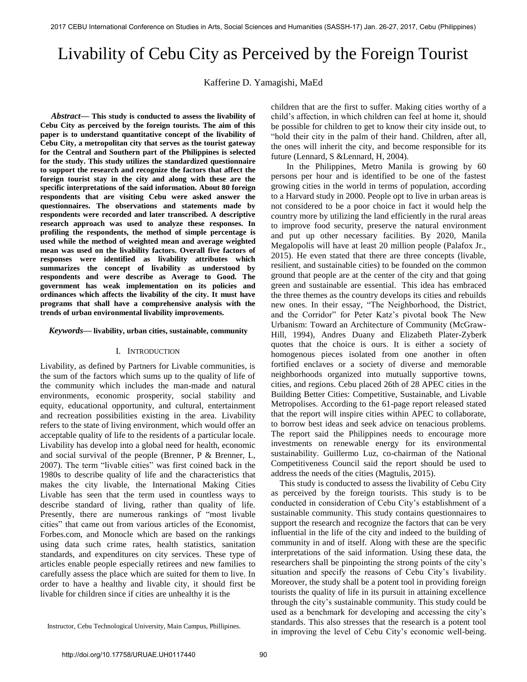# Livability of Cebu City as Perceived by the Foreign Tourist

Kafferine D. Yamagishi, MaEd

 *Abstract***— This study is conducted to assess the livability of Cebu City as perceived by the foreign tourists. The aim of this paper is to understand quantitative concept of the livability of Cebu City, a metropolitan city that serves as the tourist gateway for the Central and Southern part of the Philippines is selected for the study. This study utilizes the standardized questionnaire to support the research and recognize the factors that affect the foreign tourist stay in the city and along with these are the specific interpretations of the said information. About 80 foreign respondents that are visiting Cebu were asked answer the questionnaires. The observations and statements made by respondents were recorded and later transcribed. A descriptive research approach was used to analyze these responses. In profiling the respondents, the method of simple percentage is used while the method of weighted mean and average weighted mean was used on the livability factors. Overall five factors of responses were identified as livability attributes which summarizes the concept of livability as understood by respondents and were describe as Average to Good. The government has weak implementation on its policies and ordinances which affects the livability of the city. It must have programs that shall have a comprehensive analysis with the trends of urban environmental livability improvements.**

# *Keywords***— livability, urban cities, sustainable, community**

# I. INTRODUCTION

Livability, as defined by Partners for Livable communities, is the sum of the factors which sums up to the quality of life of the community which includes the man-made and natural environments, economic prosperity, social stability and equity, educational opportunity, and cultural, entertainment and recreation possibilities existing in the area. Livability refers to the state of living environment, which would offer an acceptable quality of life to the residents of a particular locale. Livability has develop into a global need for health, economic and social survival of the people (Brenner, P & Brenner, L, 2007). The term "livable cities" was first coined back in the 1980s to describe quality of life and the characteristics that makes the city livable, the International Making Cities Livable has seen that the term used in countless ways to describe standard of living, rather than quality of life. Presently, there are numerous rankings of "most livable cities" that came out from various articles of the Economist, Forbes.com, and Monocle which are based on the rankings using data such crime rates, health statistics, sanitation standards, and expenditures on city services. These type of articles enable people especially retirees and new families to carefully assess the place which are suited for them to live. In order to have a healthy and livable city, it should first be livable for children since if cities are unhealthy it is the

children that are the first to suffer. Making cities worthy of a child's affection, in which children can feel at home it, should be possible for children to get to know their city inside out, to "hold their city in the palm of their hand. Children, after all, the ones will inherit the city, and become responsible for its future (Lennard, S &Lennard, H, 2004).

In the Philippines, Metro Manila is growing by 60 persons per hour and is identified to be one of the fastest growing cities in the world in terms of population, according to a Harvard study in 2000. People opt to live in urban areas is not considered to be a poor choice in fact it would help the country more by utilizing the land efficiently in the rural areas to improve food security, preserve the natural environment and put up other necessary facilities. By 2020, Manila Megalopolis will have at least 20 million people (Palafox Jr., 2015). He even stated that there are three concepts (livable, resilient, and sustainable cities) to be founded on the common ground that people are at the center of the city and that going green and sustainable are essential. This idea has embraced the three themes as the country develops its cities and rebuilds new ones. In their essay, "The Neighborhood, the District, and the Corridor" for Peter Katz's pivotal book The New Urbanism: Toward an Architecture of Community (McGraw-Hill, 1994), Andres Duany and Elizabeth Plater-Zyberk quotes that the choice is ours. It is either a society of homogenous pieces isolated from one another in often fortified enclaves or a society of diverse and memorable neighborhoods organized into mutually supportive towns, cities, and regions. Cebu placed 26th of 28 APEC cities in the Building Better Cities: Competitive, Sustainable, and Livable Metropolises. According to the 61-page report released stated that the report will inspire cities within APEC to collaborate, to borrow best ideas and seek advice on tenacious problems. The report said the Philippines needs to encourage more investments on renewable energy for its environmental sustainability. Guillermo Luz, co-chairman of the National Competitiveness Council said the report should be used to address the needs of the cities (Magtulis, 2015).

 This study is conducted to assess the livability of Cebu City as perceived by the foreign tourists. This study is to be conducted in consideration of Cebu City's establishment of a sustainable community. This study contains questionnaires to support the research and recognize the factors that can be very influential in the life of the city and indeed to the building of community in and of itself. Along with these are the specific interpretations of the said information. Using these data, the researchers shall be pinpointing the strong points of the city's situation and specify the reasons of Cebu City's livability. Moreover, the study shall be a potent tool in providing foreign tourists the quality of life in its pursuit in attaining excellence through the city's sustainable community. This study could be used as a benchmark for developing and accessing the city's standards. This also stresses that the research is a potent tool in improving the level of Cebu City's economic well-being.

Instructor, Cebu Technological University, Main Campus, Phillipines.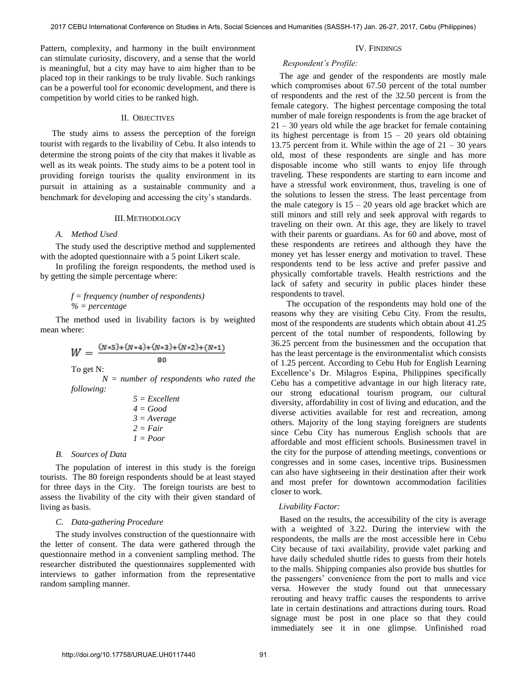Pattern, complexity, and harmony in the built environment can stimulate curiosity, discovery, and a sense that the world is meaningful, but a city may have to aim higher than to be placed top in their rankings to be truly livable. Such rankings can be a powerful tool for economic development, and there is competition by world cities to be ranked high.

#### II. OBJECTIVES

The study aims to assess the perception of the foreign tourist with regards to the livability of Cebu. It also intends to determine the strong points of the city that makes it livable as well as its weak points. The study aims to be a potent tool in providing foreign tourists the quality environment in its pursuit in attaining as a sustainable community and a benchmark for developing and accessing the city's standards.

# III.METHODOLOGY

#### *A. Method Used*

The study used the descriptive method and supplemented with the adopted questionnaire with a 5 point Likert scale.

In profiling the foreign respondents, the method used is by getting the simple percentage where:

# *f = frequency (number of respondents) % = percentage*

The method used in livability factors is by weighted mean where:

$$
W = \frac{(N*5) + (N*4) + (N*3) + (N*2) + (N*1)}{80}
$$
  
To get N:

*N = number of respondents who rated the following:* 

> *5 = Excellent 4 = Good 3 = Average 2 = Fair 1 = Poor*

# *B. Sources of Data*

The population of interest in this study is the foreign tourists. The 80 foreign respondents should be at least stayed for three days in the City. The foreign tourists are best to assess the livability of the city with their given standard of living as basis.

#### *C. Data-gathering Procedure*

The study involves construction of the questionnaire with the letter of consent. The data were gathered through the questionnaire method in a convenient sampling method. The researcher distributed the questionnaires supplemented with interviews to gather information from the representative random sampling manner.

# IV. FINDINGS

#### *Respondent's Profile:*

 The age and gender of the respondents are mostly male which compromises about 67.50 percent of the total number of respondents and the rest of the 32.50 percent is from the female category. The highest percentage composing the total number of male foreign respondents is from the age bracket of  $21 - 30$  years old while the age bracket for female containing its highest percentage is from  $15 - 20$  years old obtaining 13.75 percent from it. While within the age of  $21 - 30$  years old, most of these respondents are single and has more disposable income who still wants to enjoy life through traveling. These respondents are starting to earn income and have a stressful work environment, thus, traveling is one of the solutions to lessen the stress. The least percentage from the male category is  $15 - 20$  years old age bracket which are still minors and still rely and seek approval with regards to traveling on their own. At this age, they are likely to travel with their parents or guardians. As for 60 and above, most of these respondents are retirees and although they have the money yet has lesser energy and motivation to travel. These respondents tend to be less active and prefer passive and physically comfortable travels. Health restrictions and the lack of safety and security in public places hinder these respondents to travel.

The occupation of the respondents may hold one of the reasons why they are visiting Cebu City. From the results, most of the respondents are students which obtain about 41.25 percent of the total number of respondents, following by 36.25 percent from the businessmen and the occupation that has the least percentage is the environmentalist which consists of 1.25 percent. According to Cebu Hub for English Learning Excellence's Dr. Milagros Espina, Philippines specifically Cebu has a competitive advantage in our high literacy rate, our strong educational tourism program, our cultural diversity, affordability in cost of living and education, and the diverse activities available for rest and recreation, among others. Majority of the long staying foreigners are students since Cebu City has numerous English schools that are affordable and most efficient schools. Businessmen travel in the city for the purpose of attending meetings, conventions or congresses and in some cases, incentive trips. Businessmen can also have sightseeing in their destination after their work and most prefer for downtown accommodation facilities closer to work.

# *Livability Factor:*

 Based on the results, the accessibility of the city is average with a weighted of 3.22. During the interview with the respondents, the malls are the most accessible here in Cebu City because of taxi availability, provide valet parking and have daily scheduled shuttle rides to guests from their hotels to the malls. Shipping companies also provide bus shuttles for the passengers' convenience from the port to malls and vice versa. However the study found out that unnecessary rerouting and heavy traffic causes the respondents to arrive late in certain destinations and attractions during tours. Road signage must be post in one place so that they could immediately see it in one glimpse. Unfinished road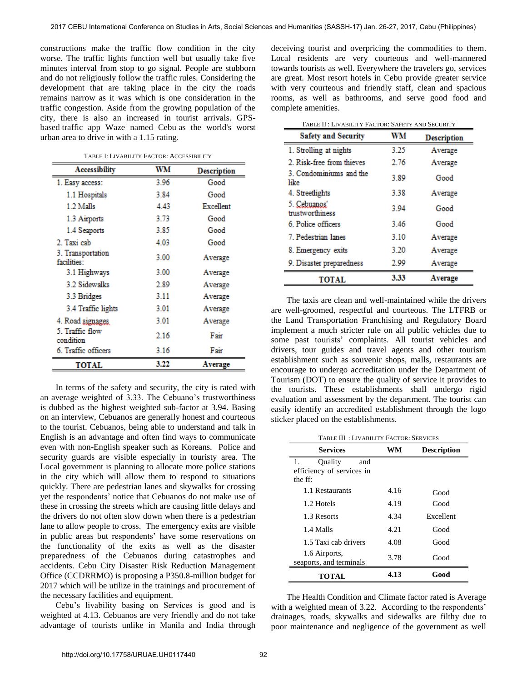constructions make the traffic flow condition in the city worse. The traffic lights function well but usually take five minutes interval from stop to go signal. People are stubborn and do not religiously follow the traffic rules. Considering the development that are taking place in the city the roads remains narrow as it was which is one consideration in the traffic congestion. Aside from the growing population of the city, there is also an increased in tourist arrivals. GPSbased [traffic app Waze named Cebu](https://inbox-static.waze.com/driverindex.pdf) as the world's worst urban area to drive in with a 1.15 rating.

TABLE I: LIVABILITY FACTOR: ACCESSIBILITY

| <b>Accessibility</b>             | WМ   | <b>Description</b> |
|----------------------------------|------|--------------------|
| 1. Easy access:                  | 3.96 | Good               |
| 1.1 Hospitals                    | 3.84 | Good               |
| 1.2 Malls                        | 4.43 | Excellent          |
| 1.3 Airports                     | 3.73 | Good               |
| 1.4 Seaports                     | 3.85 | Good               |
| 2. Taxi cab                      | 4.03 | Good               |
| 3. Transportation<br>facilities: | 3.00 | Average            |
| 3.1 Highways                     | 3.00 | Average            |
| 3.2 Sidewalks                    | 2.89 | Average            |
| 3.3 Bridges                      | 3.11 | Average            |
| 3.4 Traffic lights               | 3.01 | Average            |
| 4. Road signages                 | 3.01 | Average            |
| 5. Traffic flow<br>condition     | 2.16 | Fair               |
| 6. Traffic officers              | 3.16 | Fair               |
| TOTAL                            | 3.22 | Average            |

In terms of the safety and security, the city is rated with an average weighted of 3.33. The Cebuano's trustworthiness is dubbed as the highest weighted sub-factor at 3.94. Basing on an interview, Cebuanos are generally honest and courteous to the tourist. Cebuanos, being able to understand and talk in English is an advantage and often find ways to communicate even with non-English speaker such as Koreans. Police and security guards are visible especially in touristy area. The Local government is planning to allocate more police stations in the city which will allow them to respond to situations quickly. There are pedestrian lanes and skywalks for crossing yet the respondents' notice that Cebuanos do not make use of these in crossing the streets which are causing little delays and the drivers do not often slow down when there is a pedestrian lane to allow people to cross. The emergency exits are visible in public areas but respondents' have some reservations on the functionality of the exits as well as the disaster preparedness of the Cebuanos during catastrophes and accidents. Cebu City Disaster Risk Reduction Management Office (CCDRRMO) is proposing a P350.8-million budget for 2017 which will be utilize in the trainings and procurement of the necessary facilities and equipment.

Cebu's livability basing on Services is good and is weighted at 4.13. Cebuanos are very friendly and do not take advantage of tourists unlike in Manila and India through

deceiving tourist and overpricing the commodities to them. Local residents are very courteous and well-mannered towards tourists as well. Everywhere the travelers go, services are great. Most resort hotels in Cebu provide greater service with very courteous and friendly staff, clean and spacious rooms, as well as bathrooms, and serve good food and complete amenities.

| TABLE II: LIVABILITY FACTOR: SAFETY AND SECURITY |      |                    |
|--------------------------------------------------|------|--------------------|
| <b>Safety and Security</b>                       | WМ   | <b>Description</b> |
| 1. Strolling at nights                           | 3.25 | Average            |
| 2. Risk-free from thieves                        | 2.76 | Average            |
| 3. Condominiums and the<br>like                  | 3.89 | Good               |
| 4. Streetlights                                  | 3.38 | Average            |
| 5. Cebuanos!<br>trustworthiness                  | 3.94 | Good               |
| 6. Police officers                               | 3.46 | Good               |
| 7. Pedestrian lanes                              | 3.10 | Average            |
| 8. Emergency exits                               | 3.20 | Average            |
| 9. Disaster preparedness                         | 2.99 | Average            |
| <b>TOTAL</b>                                     | 3.33 | Average            |

The taxis are clean and well-maintained while the drivers are well-groomed, respectful and courteous. The LTFRB or the Land Transportation Franchising and Regulatory Board implement a much stricter rule on all public vehicles due to some past tourists' complaints. All tourist vehicles and drivers, tour guides and travel agents and other tourism establishment such as souvenir shops, malls, restaurants are encourage to undergo accreditation under the Department of Tourism (DOT) to ensure the quality of service it provides to the tourists. These establishments shall undergo rigid evaluation and assessment by the department. The tourist can easily identify an accredited establishment through the logo sticker placed on the establishments.

TABLE III : LIVABILITY FACTOR: SERVICES

| <b>Services</b>                                              | WM   | <b>Description</b> |
|--------------------------------------------------------------|------|--------------------|
| Ouality<br>1.<br>and<br>efficiency of services in<br>the ff: |      |                    |
| 1.1 Restaurants                                              | 4.16 | Good               |
| 1.2 Hotels                                                   | 4.19 | Good               |
| 1.3 Resorts                                                  | 4.34 | Excellent          |
| 1.4 Malls                                                    | 4.21 | Good               |
| 1.5 Taxi cab drivers                                         | 4.08 | Good               |
| 1.6 Airports,<br>seaports, and terminals                     | 3.78 | Good               |
| TOTAL                                                        | 4.13 | Good               |

The Health Condition and Climate factor rated is Average with a weighted mean of 3.22. According to the respondents' drainages, roads, skywalks and sidewalks are filthy due to poor maintenance and negligence of the government as well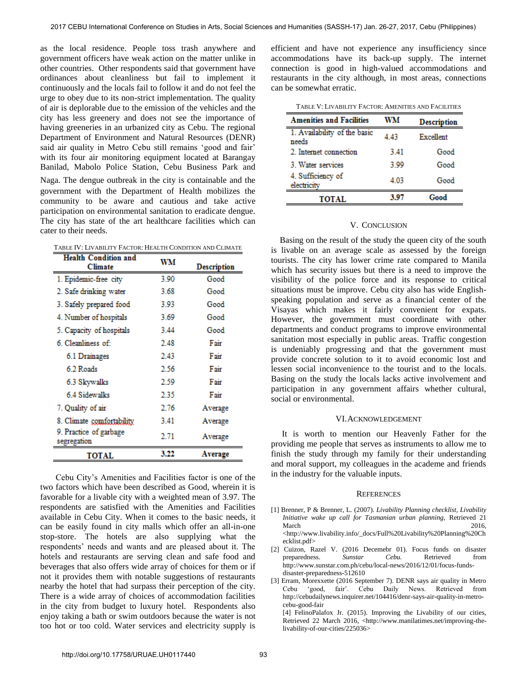as the local residence. People toss trash anywhere and government officers have weak action on the matter unlike in other countries. Other respondents said that government have ordinances about cleanliness but fail to implement it continuously and the locals fail to follow it and do not feel the urge to obey due to its non-strict implementation. The quality of air is deplorable due to the emission of the vehicles and the city has less greenery and does not see the importance of having greeneries in an urbanized city as Cebu. The regional Department of Environment and Natural Resources (DENR) said air quality in Metro Cebu still remains 'good and fair' with its four air monitoring equipment located at Barangay Banilad, Mabolo Police Station, Cebu Business Park and

Naga. The dengue outbreak in the city is containable and the government with the Department of Health mobilizes the community to be aware and cautious and take active participation on environmental sanitation to eradicate dengue. The city has state of the art healthcare facilities which can cater to their needs.

| TABLE IV: LIVABILITY FACTOR: HEALTH CONDITION AND CLIMATE |  |
|-----------------------------------------------------------|--|
| Health Condition and                                      |  |

| <b>Health Condition and</b><br>Climate | WМ   | Description |
|----------------------------------------|------|-------------|
| 1. Epidemic-free city                  | 3.90 | Good        |
| 2. Safe drinking water                 | 3.68 | Good        |
| 3. Safely prepared food                | 3.93 | Good        |
| 4. Number of hospitals                 | 3.69 | Good        |
| 5. Capacity of hospitals               | 3.44 | Good        |
| 6. Cleanliness of:                     | 2.48 | Fair        |
| 6.1 Drainages                          | 2.43 | Fair        |
| 6.2 Roads                              | 2.56 | Fair        |
| 6.3 Skywalks                           | 2.59 | Fair        |
| 6.4 Sidewalks                          | 2.35 | Fair        |
| 7. Quality of air                      | 2.76 | Average     |
| 8. Climate comfortability              | 3.41 | Average     |
| 9. Practice of garbage<br>segregation  | 2.71 | Average     |
| TOTAL                                  | 3.22 | Average     |

Cebu City's Amenities and Facilities factor is one of the two factors which have been described as Good, wherein it is favorable for a livable city with a weighted mean of 3.97. The respondents are satisfied with the Amenities and Facilities available in Cebu City. When it comes to the basic needs, it can be easily found in city malls which offer an all-in-one stop-store. The hotels are also supplying what the respondents' needs and wants and are pleased about it. The hotels and restaurants are serving clean and safe food and beverages that also offers wide array of choices for them or if not it provides them with notable suggestions of restaurants nearby the hotel that had surpass their perception of the city. There is a wide array of choices of accommodation facilities in the city from budget to luxury hotel. Respondents also enjoy taking a bath or swim outdoors because the water is not too hot or too cold. Water services and electricity supply is

efficient and have not experience any insufficiency since accommodations have its back-up supply. The internet connection is good in high-valued accommodations and restaurants in the city although, in most areas, connections can be somewhat erratic.

|  | TABLE V: LIVABILITY FACTOR: AMENITIES AND FACILITIES |
|--|------------------------------------------------------|
|--|------------------------------------------------------|

| <b>Amenities and Facilities</b>       | WM   | <b>Description</b> |
|---------------------------------------|------|--------------------|
| 1. Availability of the basic<br>needs | 443  | Excellent          |
| 2. Internet connection                | 3.41 | Good               |
| 3. Water services                     | 3.99 | Good               |
| 4. Sufficiency of<br>electricity      | 4.03 | Good               |
| TOTAL                                 | 3.97 | Good               |

# V. CONCLUSION

 Basing on the result of the study the queen city of the south is livable on an average scale as assessed by the foreign tourists. The city has lower crime rate compared to Manila which has security issues but there is a need to improve the visibility of the police force and its response to critical situations must be improve. Cebu city also has wide Englishspeaking population and serve as a financial center of the Visayas which makes it fairly convenient for expats. However, the government must coordinate with other departments and conduct programs to improve environmental sanitation most especially in public areas. Traffic congestion is undeniably progressing and that the government must provide concrete solution to it to avoid economic lost and lessen social inconvenience to the tourist and to the locals. Basing on the study the locals lacks active involvement and participation in any government affairs whether cultural, social or environmental.

# VI.ACKNOWLEDGEMENT

 It is worth to mention our Heavenly Father for the providing me people that serves as instruments to allow me to finish the study through my family for their understanding and moral support, my colleagues in the academe and friends in the industry for the valuable inputs.

# **REFERENCES**

- [1] Brenner, P & Brenner, L. (2007). *Livability Planning checklist, Livability Initiative wake up call for Tasmanian urban planning,* Retrieved 21 March 2016, <http://www.livability.info/\_docs/Full%20Livability%20Planning%20Ch ecklist.pdf>
- [2] Cuizon, Razel V. (2016 Decemebr 01). Focus funds on disaster preparedness. *Sunstar Cebu*. Retrieved from http://www.sunstar.com.ph/cebu/local-news/2016/12/01/focus-fundsdisaster-preparedness-512610
- [3] Erram, Morexxette (2016 September 7). DENR says air quality in Metro Cebu 'good, fair'. Cebu Daily News. Retrieved from http://cebudailynews.inquirer.net/104416/denr-says-air-quality-in-metrocebu-good-fair

[4] FelinoPalafox Jr. (2015). Improving the Livability of our cities, Retrieved 22 March 2016, <http://www.manilatimes.net/improving-thelivability-of-our-cities/225036>